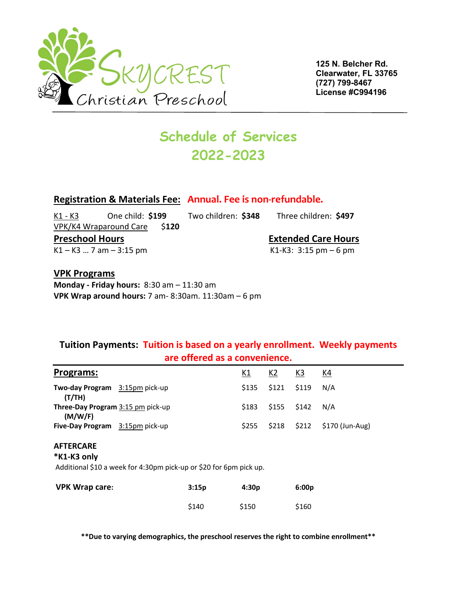

**125 N. Belcher Rd. Clearwater, FL 33765 (727) 799-8467 License #C994196**

# **Schedule of Services 2022-2023**

### **Registration & Materials Fee: Annual. Fee is non-refundable.**

K1 - K3 One child: **\$199** Two children: **\$348** Three children: **\$497** VPK/K4 Wraparound Care \$**120 Preschool Hours Extended Care Hours**  $K1 - K3$  ... 7 am  $-3:15$  pm

#### **VPK Programs**

**Monday - Friday hours:** 8:30 am – 11:30 am **VPK Wrap around hours:** 7 am- 8:30am. 11:30am – 6 pm

### **Tuition Payments: Tuition is based on a yearly enrollment. Weekly payments are offered as a convenience.**

| Programs:                                                                                             |  |       | <u>K1</u> | <u>K2</u> | <u>K3</u> | K4              |
|-------------------------------------------------------------------------------------------------------|--|-------|-----------|-----------|-----------|-----------------|
| Two-day Program 3:15pm pick-up<br>(T/TH)                                                              |  |       | \$135     | \$121     | \$119     | N/A             |
| <b>Three-Day Program 3:15 pm pick-up</b><br>(M/W/F)                                                   |  |       | \$183     | \$155     | \$142     | N/A             |
| <b>Five-Day Program</b> 3:15pm pick-up                                                                |  |       | \$255     | \$218     | \$212     | \$170 (Jun-Aug) |
| <b>AFTERCARE</b><br>*K1-K3 only<br>Additional \$10 a week for 4:30pm pick-up or \$20 for 6pm pick up. |  |       |           |           |           |                 |
| <b>VPK Wrap care:</b>                                                                                 |  | 3:15p | 4:30p     |           | 6:00p     |                 |
|                                                                                                       |  | \$140 | \$150     |           | \$160     |                 |

**\*\*Due to varying demographics, the preschool reserves the right to combine enrollment\*\***